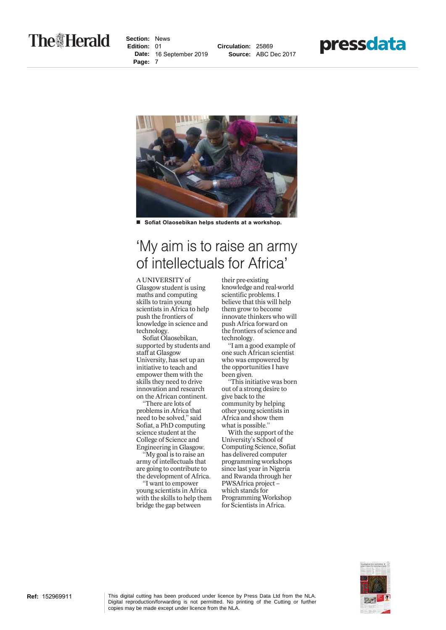## **The Herald**

**Section:** News **Edition:** 01 **Date:** 16 September 2019 **Page:** 7







■ Sofiat Olaosebikan helps students at a workshop.

## 'My aim is to raise an army of intellectuals for Africa'

## A UNIVERSITY of

Glasgow student is using maths and computing skills to train young scientists in Africa to help push the frontiers of knowledge in science and technology.

Sofiat Olaosebikan, supported by students and staff at Glasgow University, has set up an initiative to teach and empower them with the skills they need to drive innovation and research on the African continent.

"There are lots of problems in Africa that need to be solved," said Sofiat, a PhD computing science student at the College of Science and Engineering in Glasgow.

"My goal is to raise an army of intellectuals that are going to contribute to the development of Africa.

"I want to empower young scientists in Africa with the skills to help them bridge the gap between

their pre-existing knowledge and real-world scientific problems. I believe that this will help them grow to become innovate thinkers who will push Africa forward on the frontiers of science and technology.

"I am a good example of one such African scientist who was empowered by the opportunities I have been given.

"This initiative was born out of a strong desire to give back to the community by helping other young scientists in Africa and show them what is possible.'

With the support of the University's School of Computing Science, Sofiat has delivered computer programming workshops since last year in Nigeria and Rwanda through her PWSAfrica project – which stands for Programming Workshop for Scientists in Africa.